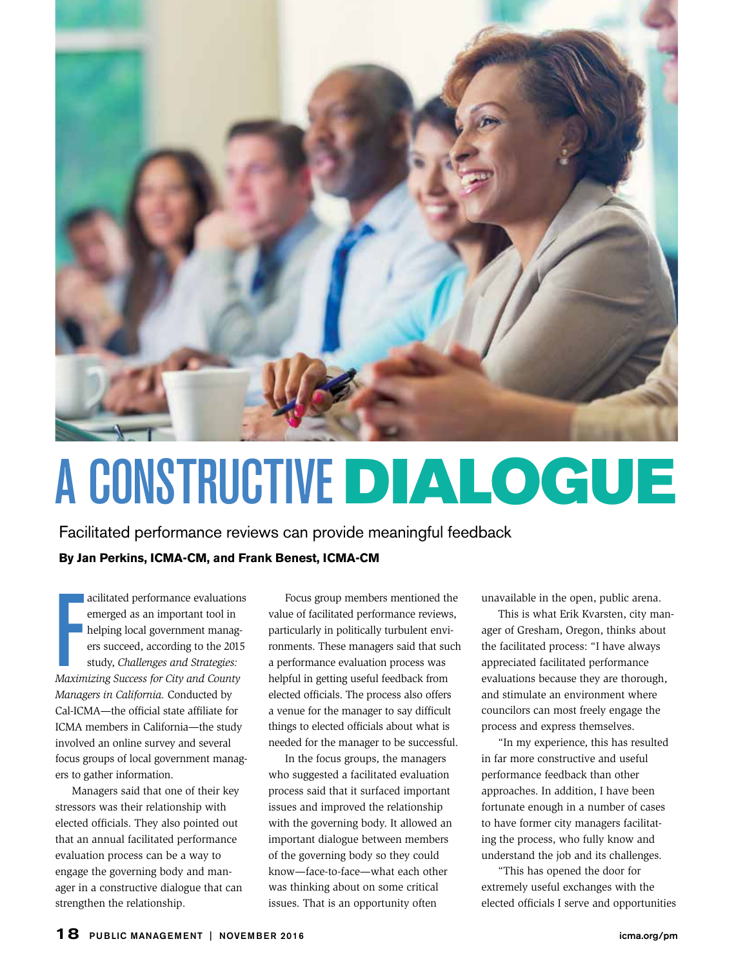

# A CONSTRUCTIVE DIALOGUE

Facilitated performance reviews can provide meaningful feedback

## **By Jan Perkins, ICMA-CM, and Frank Benest, ICMA-CM**

acilitated performance evaluations<br>
emerged as an important tool in<br>
helping local government manag-<br>
ers succeed, according to the 2015<br>
study, *Challenges and Strategies:*<br>
Maximizing Success for City and County acilitated performance evaluations emerged as an important tool in helping local government managers succeed, according to the 2015 study, *Challenges and Strategies: Managers in California.* Conducted by Cal-ICMA—the official state affiliate for ICMA members in California—the study involved an online survey and several focus groups of local government managers to gather information.

Managers said that one of their key stressors was their relationship with elected officials. They also pointed out that an annual facilitated performance evaluation process can be a way to engage the governing body and manager in a constructive dialogue that can strengthen the relationship.

Focus group members mentioned the value of facilitated performance reviews, particularly in politically turbulent environments. These managers said that such a performance evaluation process was helpful in getting useful feedback from elected officials. The process also offers a venue for the manager to say difficult things to elected officials about what is needed for the manager to be successful.

In the focus groups, the managers who suggested a facilitated evaluation process said that it surfaced important issues and improved the relationship with the governing body. It allowed an important dialogue between members of the governing body so they could know—face-to-face—what each other was thinking about on some critical issues. That is an opportunity often

unavailable in the open, public arena.

This is what Erik Kvarsten, city manager of Gresham, Oregon, thinks about the facilitated process: "I have always appreciated facilitated performance evaluations because they are thorough, and stimulate an environment where councilors can most freely engage the process and express themselves.

"In my experience, this has resulted in far more constructive and useful performance feedback than other approaches. In addition, I have been fortunate enough in a number of cases to have former city managers facilitating the process, who fully know and understand the job and its challenges.

"This has opened the door for extremely useful exchanges with the elected officials I serve and opportunities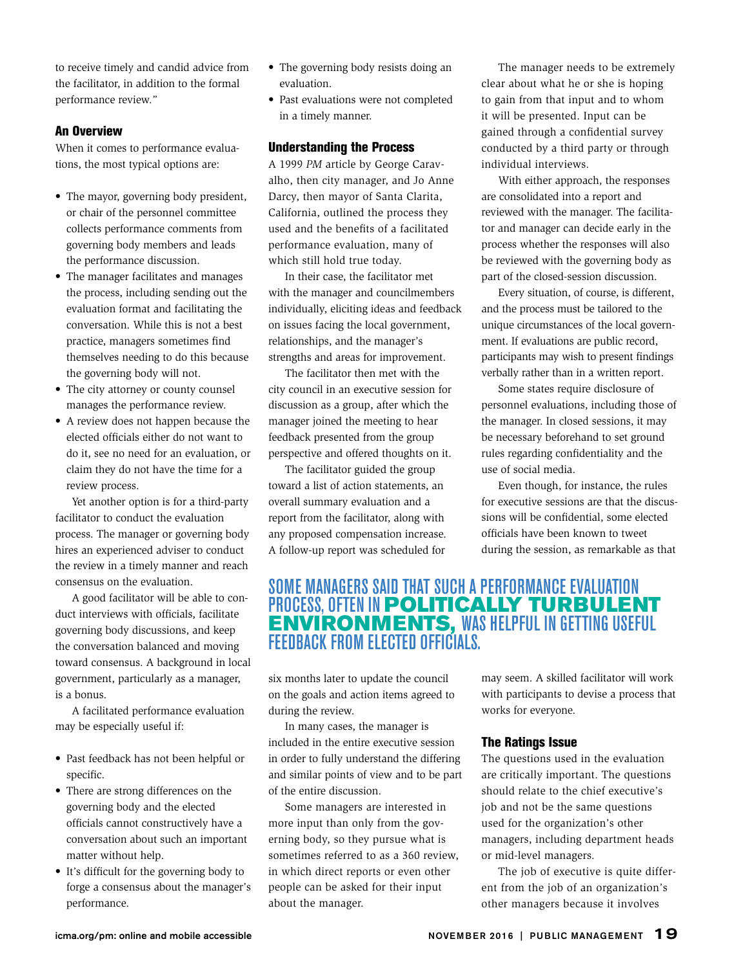to receive timely and candid advice from the facilitator, in addition to the formal performance review."

## An Overview

When it comes to performance evaluations, the most typical options are:

- The mayor, governing body president, or chair of the personnel committee collects performance comments from governing body members and leads the performance discussion.
- The manager facilitates and manages the process, including sending out the evaluation format and facilitating the conversation. While this is not a best practice, managers sometimes find themselves needing to do this because the governing body will not.
- The city attorney or county counsel manages the performance review.
- A review does not happen because the elected officials either do not want to do it, see no need for an evaluation, or claim they do not have the time for a review process.

Yet another option is for a third-party facilitator to conduct the evaluation process. The manager or governing body hires an experienced adviser to conduct the review in a timely manner and reach consensus on the evaluation.

A good facilitator will be able to conduct interviews with officials, facilitate governing body discussions, and keep the conversation balanced and moving toward consensus. A background in local government, particularly as a manager, is a bonus.

A facilitated performance evaluation may be especially useful if:

- Past feedback has not been helpful or specific.
- There are strong differences on the governing body and the elected officials cannot constructively have a conversation about such an important matter without help.
- It's difficult for the governing body to forge a consensus about the manager's performance.
- The governing body resists doing an evaluation.
- Past evaluations were not completed in a timely manner.

#### Understanding the Process

A 1999 *PM* article by George Caravalho, then city manager, and Jo Anne Darcy, then mayor of Santa Clarita, California, outlined the process they used and the benefits of a facilitated performance evaluation, many of which still hold true today.

In their case, the facilitator met with the manager and councilmembers individually, eliciting ideas and feedback on issues facing the local government, relationships, and the manager's strengths and areas for improvement.

The facilitator then met with the city council in an executive session for discussion as a group, after which the manager joined the meeting to hear feedback presented from the group perspective and offered thoughts on it.

The facilitator guided the group toward a list of action statements, an overall summary evaluation and a report from the facilitator, along with any proposed compensation increase. A follow-up report was scheduled for

The manager needs to be extremely clear about what he or she is hoping to gain from that input and to whom it will be presented. Input can be gained through a confidential survey conducted by a third party or through individual interviews.

With either approach, the responses are consolidated into a report and reviewed with the manager. The facilitator and manager can decide early in the process whether the responses will also be reviewed with the governing body as part of the closed-session discussion.

Every situation, of course, is different, and the process must be tailored to the unique circumstances of the local government. If evaluations are public record, participants may wish to present findings verbally rather than in a written report.

Some states require disclosure of personnel evaluations, including those of the manager. In closed sessions, it may be necessary beforehand to set ground rules regarding confidentiality and the use of social media.

Even though, for instance, the rules for executive sessions are that the discussions will be confidential, some elected officials have been known to tweet during the session, as remarkable as that

## SOME MANAGERS SAID THAT SUCH A PERFORMANCE EVALUATION PROCESS, OFTEN IN **POLITICALLY TURBULENT** ENVIRONMENTS, WAS HELPFUL IN GETTING USEFUL FEEDBACK FROM ELECTED OFFICIALS.

six months later to update the council on the goals and action items agreed to during the review.

In many cases, the manager is included in the entire executive session in order to fully understand the differing and similar points of view and to be part of the entire discussion.

Some managers are interested in more input than only from the governing body, so they pursue what is sometimes referred to as a 360 review, in which direct reports or even other people can be asked for their input about the manager.

may seem. A skilled facilitator will work with participants to devise a process that works for everyone.

#### The Ratings Issue

The questions used in the evaluation are critically important. The questions should relate to the chief executive's job and not be the same questions used for the organization's other managers, including department heads or mid-level managers.

The job of executive is quite different from the job of an organization's other managers because it involves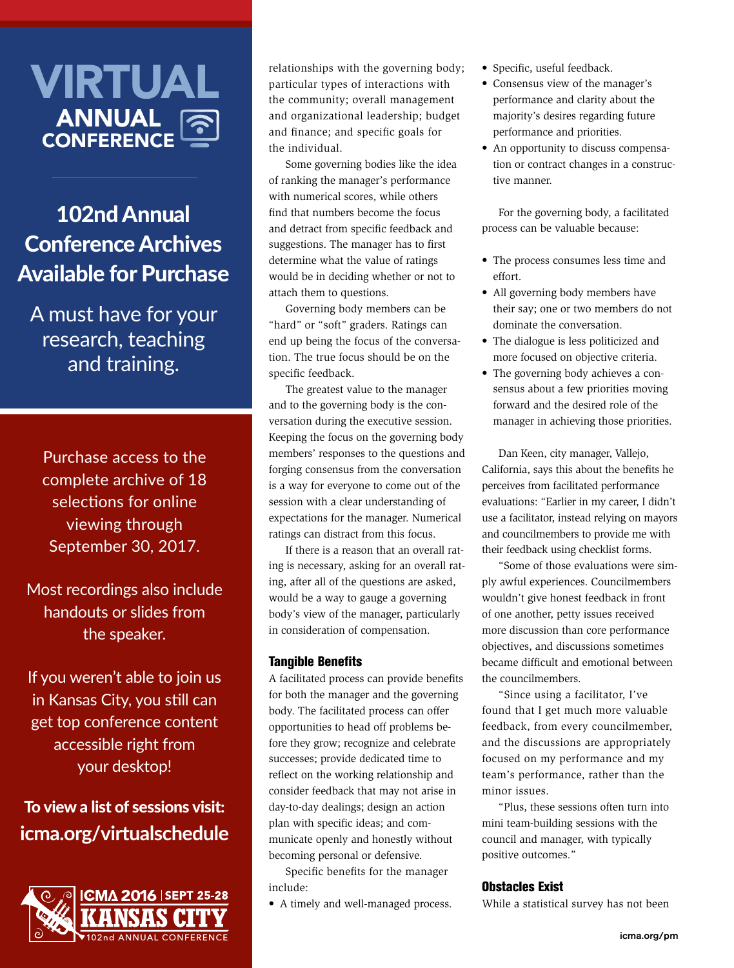## VIRTUAL ANNUAL **CONFERENCE**

## 102nd Annual Conference Archives Available for Purchase

A must have for your research, teaching and training.

Purchase access to the complete archive of 18 selections for online viewing through September 30, 2017.

Most recordings also include handouts or slides from the speaker.

If you weren't able to join us in Kansas City, you still can get top conference content accessible right from your desktop!

## To view a list of sessions visit: **icma.org/virtualschedule**



relationships with the governing body; particular types of interactions with the community; overall management and organizational leadership; budget and finance; and specific goals for the individual.

Some governing bodies like the idea of ranking the manager's performance with numerical scores, while others find that numbers become the focus and detract from specific feedback and suggestions. The manager has to first determine what the value of ratings would be in deciding whether or not to attach them to questions.

Governing body members can be "hard" or "soft" graders. Ratings can end up being the focus of the conversation. The true focus should be on the specific feedback.

The greatest value to the manager and to the governing body is the conversation during the executive session. Keeping the focus on the governing body members' responses to the questions and forging consensus from the conversation is a way for everyone to come out of the session with a clear understanding of expectations for the manager. Numerical ratings can distract from this focus.

If there is a reason that an overall rating is necessary, asking for an overall rating, after all of the questions are asked, would be a way to gauge a governing body's view of the manager, particularly in consideration of compensation.

## Tangible Benefits

A facilitated process can provide benefits for both the manager and the governing body. The facilitated process can offer opportunities to head off problems before they grow; recognize and celebrate successes; provide dedicated time to reflect on the working relationship and consider feedback that may not arise in day-to-day dealings; design an action plan with specific ideas; and communicate openly and honestly without becoming personal or defensive.

Specific benefits for the manager include:

• A timely and well-managed process.

- Specific, useful feedback.
- Consensus view of the manager's performance and clarity about the majority's desires regarding future performance and priorities.
- An opportunity to discuss compensation or contract changes in a constructive manner.

For the governing body, a facilitated process can be valuable because:

- The process consumes less time and effort.
- All governing body members have their say; one or two members do not dominate the conversation.
- The dialogue is less politicized and more focused on objective criteria.
- The governing body achieves a consensus about a few priorities moving forward and the desired role of the manager in achieving those priorities.

Dan Keen, city manager, Vallejo, California, says this about the benefits he perceives from facilitated performance evaluations: "Earlier in my career, I didn't use a facilitator, instead relying on mayors and councilmembers to provide me with their feedback using checklist forms.

"Some of those evaluations were simply awful experiences. Councilmembers wouldn't give honest feedback in front of one another, petty issues received more discussion than core performance objectives, and discussions sometimes became difficult and emotional between the councilmembers.

"Since using a facilitator, I've found that I get much more valuable feedback, from every councilmember, and the discussions are appropriately focused on my performance and my team's performance, rather than the minor issues.

"Plus, these sessions often turn into mini team-building sessions with the council and manager, with typically positive outcomes."

## Obstacles Exist

While a statistical survey has not been